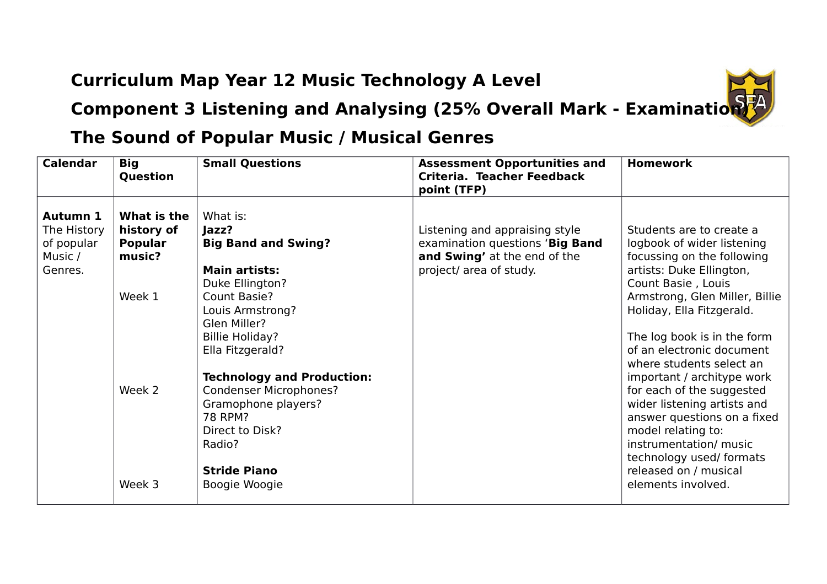## **Curriculum Map Year 12 Music Technology A Level**



**Component 3 Listening and Analysing (25% Overall Mark - Examination)** 

## **The Sound of Popular Music / Musical Genres**

| <b>Calendar</b><br><b>Big</b>                               | Question                                                                            | <b>Small Questions</b>                                                                                                                                                                                                                                                                                                                                                    | <b>Assessment Opportunities and</b><br>Criteria. Teacher Feedback<br>point (TFP)                                             | <b>Homework</b>                                                                                                                                                                                                                                                                                                                                                                                                                                                                                                                                   |
|-------------------------------------------------------------|-------------------------------------------------------------------------------------|---------------------------------------------------------------------------------------------------------------------------------------------------------------------------------------------------------------------------------------------------------------------------------------------------------------------------------------------------------------------------|------------------------------------------------------------------------------------------------------------------------------|---------------------------------------------------------------------------------------------------------------------------------------------------------------------------------------------------------------------------------------------------------------------------------------------------------------------------------------------------------------------------------------------------------------------------------------------------------------------------------------------------------------------------------------------------|
| Autumn 1<br>The History<br>of popular<br>Music /<br>Genres. | What is the<br>history of<br><b>Popular</b><br>music?<br>Week 1<br>Week 2<br>Week 3 | What is:<br>Jazz?<br><b>Big Band and Swing?</b><br><b>Main artists:</b><br>Duke Ellington?<br>Count Basie?<br>Louis Armstrong?<br>Glen Miller?<br><b>Billie Holiday?</b><br>Ella Fitzgerald?<br><b>Technology and Production:</b><br><b>Condenser Microphones?</b><br>Gramophone players?<br>78 RPM?<br>Direct to Disk?<br>Radio?<br><b>Stride Piano</b><br>Boogie Woogie | Listening and appraising style<br>examination questions 'Big Band<br>and Swing' at the end of the<br>project/ area of study. | Students are to create a<br>logbook of wider listening<br>focussing on the following<br>artists: Duke Ellington,<br>Count Basie, Louis<br>Armstrong, Glen Miller, Billie<br>Holiday, Ella Fitzgerald.<br>The log book is in the form<br>of an electronic document<br>where students select an<br>important / architype work<br>for each of the suggested<br>wider listening artists and<br>answer questions on a fixed<br>model relating to:<br>instrumentation/ music<br>technology used/ formats<br>released on / musical<br>elements involved. |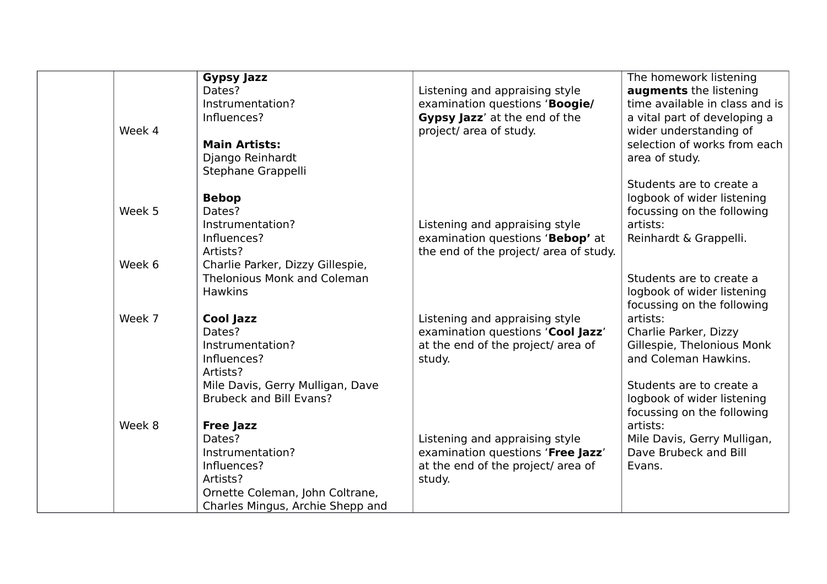|        | <b>Gypsy Jazz</b>                  |                                        | The homework listening         |
|--------|------------------------------------|----------------------------------------|--------------------------------|
|        | Dates?                             | Listening and appraising style         | augments the listening         |
|        | Instrumentation?                   | examination questions 'Boogie/         | time available in class and is |
|        | Influences?                        | Gypsy Jazz' at the end of the          | a vital part of developing a   |
| Week 4 |                                    | project/ area of study.                | wider understanding of         |
|        | <b>Main Artists:</b>               |                                        | selection of works from each   |
|        | Django Reinhardt                   |                                        | area of study.                 |
|        | Stephane Grappelli                 |                                        |                                |
|        |                                    |                                        | Students are to create a       |
|        | <b>Bebop</b>                       |                                        | logbook of wider listening     |
| Week 5 | Dates?                             |                                        | focussing on the following     |
|        | Instrumentation?                   | Listening and appraising style         | artists:                       |
|        | Influences?                        | examination questions 'Bebop' at       | Reinhardt & Grappelli.         |
|        | Artists?                           | the end of the project/ area of study. |                                |
| Week 6 | Charlie Parker, Dizzy Gillespie,   |                                        |                                |
|        | <b>Thelonious Monk and Coleman</b> |                                        | Students are to create a       |
|        | <b>Hawkins</b>                     |                                        | logbook of wider listening     |
|        |                                    |                                        | focussing on the following     |
| Week 7 | <b>Cool Jazz</b>                   | Listening and appraising style         | artists:                       |
|        | Dates?                             | examination questions 'Cool Jazz'      | Charlie Parker, Dizzy          |
|        | Instrumentation?                   | at the end of the project/ area of     | Gillespie, Thelonious Monk     |
|        | Influences?                        | study.                                 | and Coleman Hawkins.           |
|        | Artists?                           |                                        |                                |
|        | Mile Davis, Gerry Mulligan, Dave   |                                        | Students are to create a       |
|        | <b>Brubeck and Bill Evans?</b>     |                                        | logbook of wider listening     |
|        |                                    |                                        | focussing on the following     |
| Week 8 | <b>Free Jazz</b>                   |                                        | artists:                       |
|        | Dates?                             | Listening and appraising style         | Mile Davis, Gerry Mulligan,    |
|        | Instrumentation?                   | examination questions 'Free Jazz'      | Dave Brubeck and Bill          |
|        | Influences?                        | at the end of the project/ area of     | Evans.                         |
|        | Artists?                           | study.                                 |                                |
|        | Ornette Coleman, John Coltrane,    |                                        |                                |
|        | Charles Mingus, Archie Shepp and   |                                        |                                |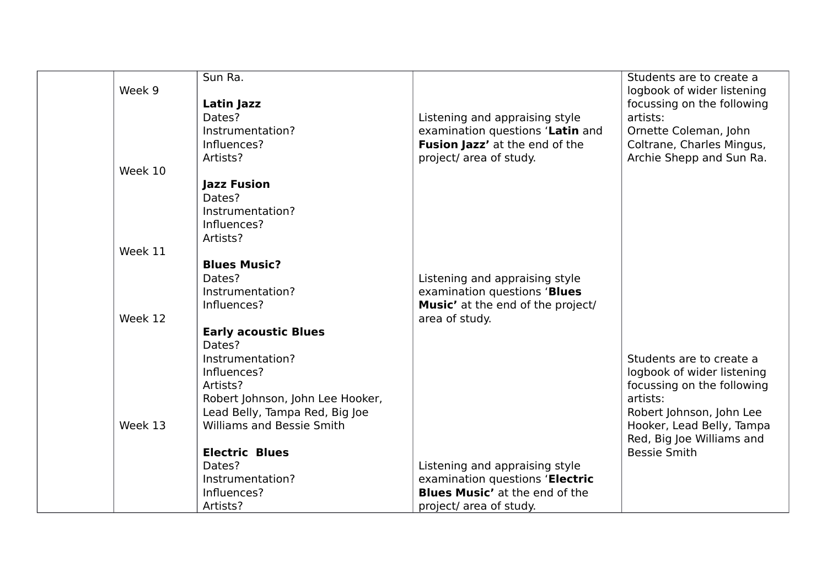|         | Sun Ra.                          |                                       | Students are to create a   |
|---------|----------------------------------|---------------------------------------|----------------------------|
| Week 9  |                                  |                                       | logbook of wider listening |
|         | Latin Jazz                       |                                       | focussing on the following |
|         | Dates?                           | Listening and appraising style        | artists:                   |
|         | Instrumentation?                 | examination questions 'Latin and      | Ornette Coleman, John      |
|         | Influences?                      | Fusion Jazz' at the end of the        | Coltrane, Charles Mingus,  |
|         | Artists?                         | project/ area of study.               | Archie Shepp and Sun Ra.   |
| Week 10 |                                  |                                       |                            |
|         | <b>Jazz Fusion</b>               |                                       |                            |
|         | Dates?                           |                                       |                            |
|         | Instrumentation?                 |                                       |                            |
|         | Influences?                      |                                       |                            |
|         | Artists?                         |                                       |                            |
| Week 11 |                                  |                                       |                            |
|         | <b>Blues Music?</b>              |                                       |                            |
|         |                                  |                                       |                            |
|         | Dates?                           | Listening and appraising style        |                            |
|         | Instrumentation?                 | examination questions 'Blues          |                            |
|         | Influences?                      | Music' at the end of the project/     |                            |
| Week 12 |                                  | area of study.                        |                            |
|         | <b>Early acoustic Blues</b>      |                                       |                            |
|         | Dates?                           |                                       |                            |
|         | Instrumentation?                 |                                       | Students are to create a   |
|         | Influences?                      |                                       | logbook of wider listening |
|         | Artists?                         |                                       | focussing on the following |
|         | Robert Johnson, John Lee Hooker, |                                       | artists:                   |
|         | Lead Belly, Tampa Red, Big Joe   |                                       | Robert Johnson, John Lee   |
| Week 13 | <b>Williams and Bessie Smith</b> |                                       | Hooker, Lead Belly, Tampa  |
|         |                                  |                                       | Red, Big Joe Williams and  |
|         | <b>Electric Blues</b>            |                                       | <b>Bessie Smith</b>        |
|         | Dates?                           | Listening and appraising style        |                            |
|         | Instrumentation?                 | examination questions 'Electric       |                            |
|         | Influences?                      | <b>Blues Music'</b> at the end of the |                            |
|         | Artists?                         | project/ area of study.               |                            |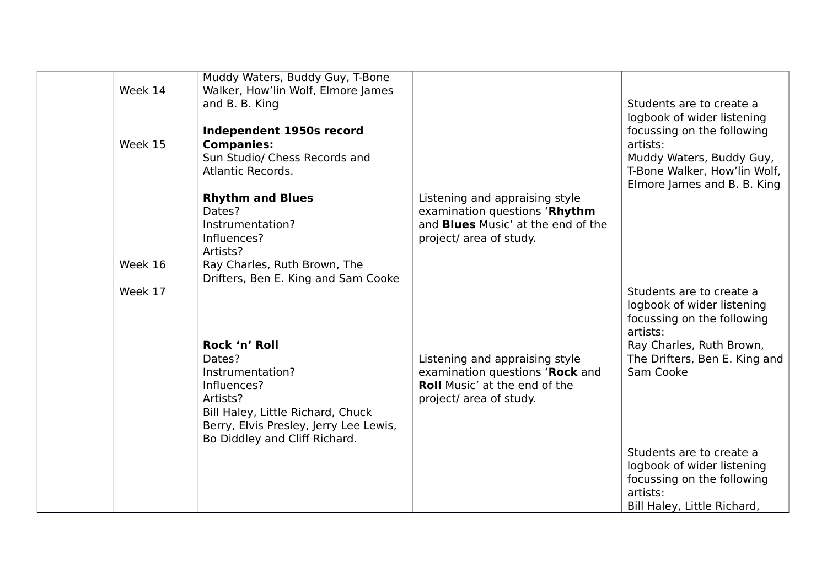|         | Muddy Waters, Buddy Guy, T-Bone        |                                           |                               |
|---------|----------------------------------------|-------------------------------------------|-------------------------------|
| Week 14 | Walker, How'lin Wolf, Elmore James     |                                           |                               |
|         | and B. B. King                         |                                           | Students are to create a      |
|         |                                        |                                           |                               |
|         |                                        |                                           | logbook of wider listening    |
|         | Independent 1950s record               |                                           | focussing on the following    |
| Week 15 | <b>Companies:</b>                      |                                           | artists:                      |
|         | Sun Studio/ Chess Records and          |                                           | Muddy Waters, Buddy Guy,      |
|         | Atlantic Records.                      |                                           | T-Bone Walker, How'lin Wolf,  |
|         |                                        |                                           | Elmore James and B. B. King   |
|         | <b>Rhythm and Blues</b>                | Listening and appraising style            |                               |
|         | Dates?                                 | examination questions 'Rhythm             |                               |
|         | Instrumentation?                       | and <b>Blues</b> Music' at the end of the |                               |
|         | Influences?                            | project/ area of study.                   |                               |
|         | Artists?                               |                                           |                               |
| Week 16 | Ray Charles, Ruth Brown, The           |                                           |                               |
|         | Drifters, Ben E. King and Sam Cooke    |                                           |                               |
| Week 17 |                                        |                                           | Students are to create a      |
|         |                                        |                                           |                               |
|         |                                        |                                           | logbook of wider listening    |
|         |                                        |                                           | focussing on the following    |
|         |                                        |                                           | artists:                      |
|         | Rock 'n' Roll                          |                                           | Ray Charles, Ruth Brown,      |
|         | Dates?                                 | Listening and appraising style            | The Drifters, Ben E. King and |
|         | Instrumentation?                       | examination questions 'Rock and           | Sam Cooke                     |
|         | Influences?                            | <b>Roll Music' at the end of the</b>      |                               |
|         | Artists?                               | project/ area of study.                   |                               |
|         | Bill Haley, Little Richard, Chuck      |                                           |                               |
|         | Berry, Elvis Presley, Jerry Lee Lewis, |                                           |                               |
|         | Bo Diddley and Cliff Richard.          |                                           |                               |
|         |                                        |                                           | Students are to create a      |
|         |                                        |                                           | logbook of wider listening    |
|         |                                        |                                           | focussing on the following    |
|         |                                        |                                           | artists:                      |
|         |                                        |                                           |                               |
|         |                                        |                                           | Bill Haley, Little Richard,   |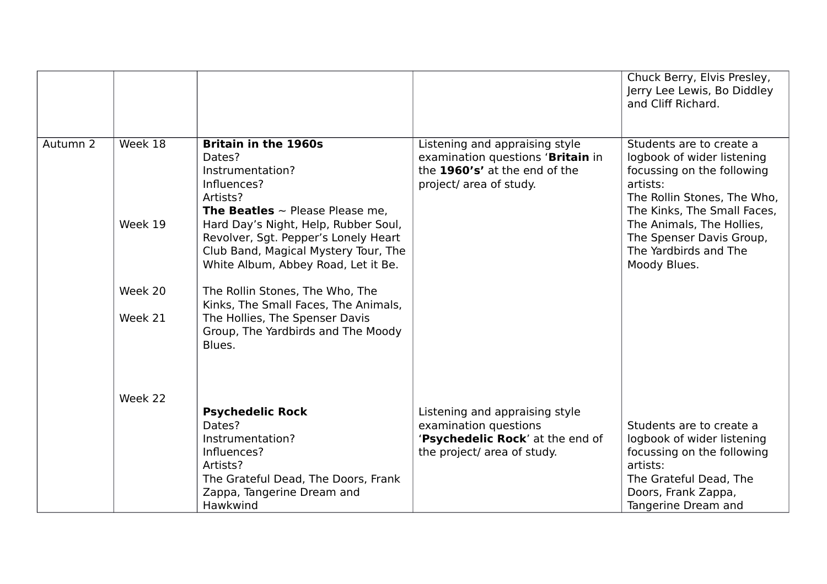|          |         |                                             |                                   | Chuck Berry, Elvis Presley, |
|----------|---------|---------------------------------------------|-----------------------------------|-----------------------------|
|          |         |                                             |                                   | Jerry Lee Lewis, Bo Diddley |
|          |         |                                             |                                   | and Cliff Richard.          |
|          |         |                                             |                                   |                             |
|          |         |                                             |                                   |                             |
| Autumn 2 | Week 18 | <b>Britain in the 1960s</b>                 | Listening and appraising style    | Students are to create a    |
|          |         | Dates?                                      | examination questions 'Britain in | logbook of wider listening  |
|          |         | Instrumentation?                            | the 1960's' at the end of the     | focussing on the following  |
|          |         | Influences?                                 | project/ area of study.           | artists:                    |
|          |         | Artists?                                    |                                   | The Rollin Stones, The Who, |
|          |         | <b>The Beatles</b> $\sim$ Please Please me. |                                   | The Kinks, The Small Faces, |
|          | Week 19 | Hard Day's Night, Help, Rubber Soul,        |                                   | The Animals, The Hollies,   |
|          |         | Revolver, Sgt. Pepper's Lonely Heart        |                                   | The Spenser Davis Group,    |
|          |         | Club Band, Magical Mystery Tour, The        |                                   | The Yardbirds and The       |
|          |         | White Album, Abbey Road, Let it Be.         |                                   | Moody Blues.                |
|          |         |                                             |                                   |                             |
|          | Week 20 | The Rollin Stones, The Who, The             |                                   |                             |
|          |         | Kinks, The Small Faces, The Animals,        |                                   |                             |
|          | Week 21 | The Hollies, The Spenser Davis              |                                   |                             |
|          |         | Group, The Yardbirds and The Moody          |                                   |                             |
|          |         | Blues.                                      |                                   |                             |
|          |         |                                             |                                   |                             |
|          |         |                                             |                                   |                             |
|          | Week 22 |                                             |                                   |                             |
|          |         | <b>Psychedelic Rock</b>                     | Listening and appraising style    |                             |
|          |         | Dates?                                      | examination questions             | Students are to create a    |
|          |         | Instrumentation?                            | 'Psychedelic Rock' at the end of  | logbook of wider listening  |
|          |         | Influences?                                 | the project/ area of study.       | focussing on the following  |
|          |         | Artists?                                    |                                   | artists:                    |
|          |         | The Grateful Dead, The Doors, Frank         |                                   | The Grateful Dead, The      |
|          |         | Zappa, Tangerine Dream and                  |                                   | Doors, Frank Zappa,         |
|          |         | Hawkwind                                    |                                   | Tangerine Dream and         |
|          |         |                                             |                                   |                             |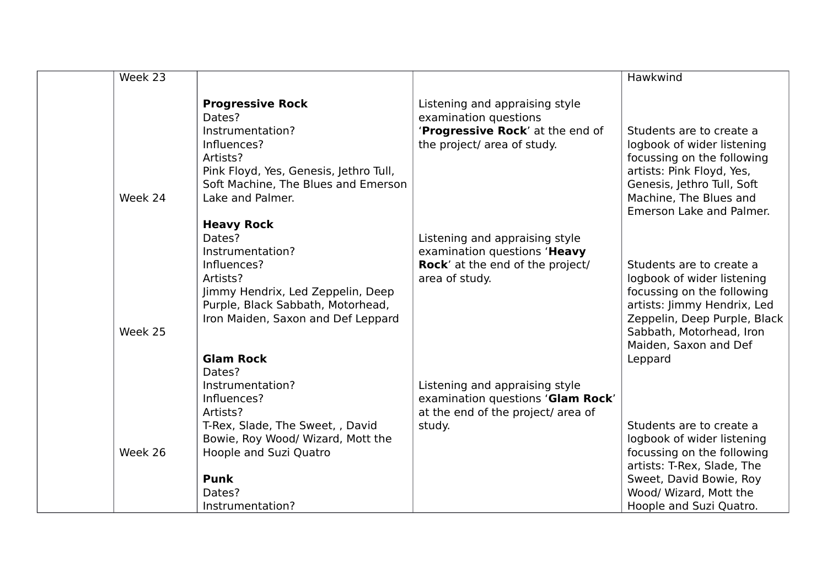| Week 23 |                                                                                                                                                                                                                |                                                                                                                             | Hawkwind                                                                                                                                                                                                            |
|---------|----------------------------------------------------------------------------------------------------------------------------------------------------------------------------------------------------------------|-----------------------------------------------------------------------------------------------------------------------------|---------------------------------------------------------------------------------------------------------------------------------------------------------------------------------------------------------------------|
| Week 24 | <b>Progressive Rock</b><br>Dates?<br>Instrumentation?<br>Influences?<br>Artists?<br>Pink Floyd, Yes, Genesis, Jethro Tull,<br>Soft Machine, The Blues and Emerson<br>Lake and Palmer.                          | Listening and appraising style<br>examination questions<br>'Progressive Rock' at the end of<br>the project/ area of study.  | Students are to create a<br>logbook of wider listening<br>focussing on the following<br>artists: Pink Floyd, Yes,<br>Genesis, Jethro Tull, Soft<br>Machine, The Blues and<br>Emerson Lake and Palmer.               |
| Week 25 | <b>Heavy Rock</b><br>Dates?<br>Instrumentation?<br>Influences?<br>Artists?<br>Jimmy Hendrix, Led Zeppelin, Deep<br>Purple, Black Sabbath, Motorhead,<br>Iron Maiden, Saxon and Def Leppard<br><b>Glam Rock</b> | Listening and appraising style<br>examination questions 'Heavy<br><b>Rock'</b> at the end of the project/<br>area of study. | Students are to create a<br>logbook of wider listening<br>focussing on the following<br>artists: Jimmy Hendrix, Led<br>Zeppelin, Deep Purple, Black<br>Sabbath, Motorhead, Iron<br>Maiden, Saxon and Def<br>Leppard |
| Week 26 | Dates?<br>Instrumentation?<br>Influences?<br>Artists?<br>T-Rex, Slade, The Sweet, , David<br>Bowie, Roy Wood/ Wizard, Mott the<br>Hoople and Suzi Quatro<br><b>Punk</b><br>Dates?<br>Instrumentation?          | Listening and appraising style<br>examination questions 'Glam Rock'<br>at the end of the project/ area of<br>study.         | Students are to create a<br>logbook of wider listening<br>focussing on the following<br>artists: T-Rex, Slade, The<br>Sweet, David Bowie, Roy<br>Wood/ Wizard, Mott the<br>Hoople and Suzi Quatro.                  |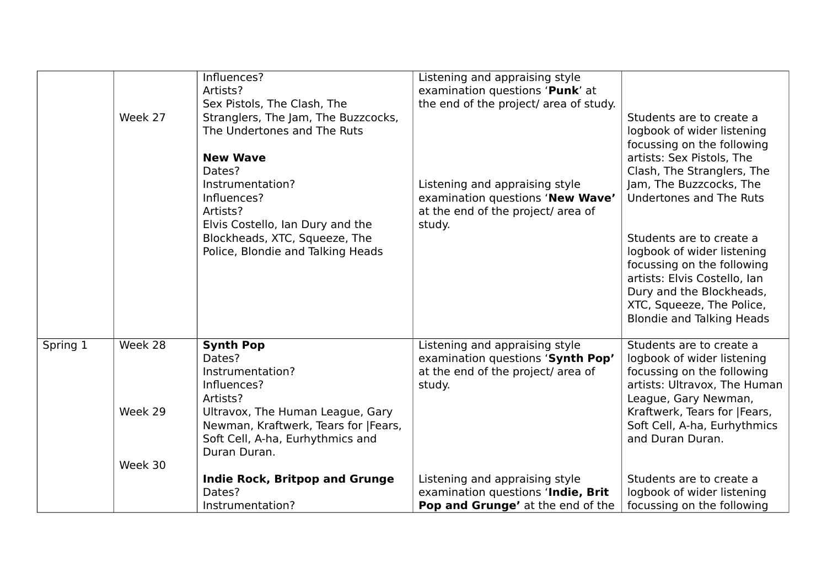|          |         | Influences?                           | Listening and appraising style         |                                  |
|----------|---------|---------------------------------------|----------------------------------------|----------------------------------|
|          |         | Artists?                              | examination questions 'Punk' at        |                                  |
|          |         | Sex Pistols, The Clash, The           | the end of the project/ area of study. |                                  |
|          | Week 27 | Stranglers, The Jam, The Buzzcocks,   |                                        | Students are to create a         |
|          |         | The Undertones and The Ruts           |                                        | logbook of wider listening       |
|          |         |                                       |                                        | focussing on the following       |
|          |         | <b>New Wave</b>                       |                                        | artists: Sex Pistols, The        |
|          |         | Dates?                                |                                        | Clash, The Stranglers, The       |
|          |         | Instrumentation?                      | Listening and appraising style         | Jam, The Buzzcocks, The          |
|          |         | Influences?                           | examination questions 'New Wave'       | Undertones and The Ruts          |
|          |         | Artists?                              | at the end of the project/ area of     |                                  |
|          |         | Elvis Costello, Ian Dury and the      | study.                                 |                                  |
|          |         | Blockheads, XTC, Squeeze, The         |                                        | Students are to create a         |
|          |         | Police, Blondie and Talking Heads     |                                        | logbook of wider listening       |
|          |         |                                       |                                        | focussing on the following       |
|          |         |                                       |                                        | artists: Elvis Costello, Ian     |
|          |         |                                       |                                        |                                  |
|          |         |                                       |                                        | Dury and the Blockheads,         |
|          |         |                                       |                                        | XTC, Squeeze, The Police,        |
|          |         |                                       |                                        | <b>Blondie and Talking Heads</b> |
| Spring 1 | Week 28 | <b>Synth Pop</b>                      | Listening and appraising style         | Students are to create a         |
|          |         | Dates?                                | examination questions 'Synth Pop'      |                                  |
|          |         |                                       |                                        | logbook of wider listening       |
|          |         | Instrumentation?                      | at the end of the project/ area of     | focussing on the following       |
|          |         | Influences?                           | study.                                 | artists: Ultravox, The Human     |
|          |         | Artists?                              |                                        | League, Gary Newman,             |
|          | Week 29 | Ultravox, The Human League, Gary      |                                        | Kraftwerk, Tears for  Fears,     |
|          |         | Newman, Kraftwerk, Tears for  Fears,  |                                        | Soft Cell, A-ha, Eurhythmics     |
|          |         | Soft Cell, A-ha, Eurhythmics and      |                                        | and Duran Duran.                 |
|          |         | Duran Duran.                          |                                        |                                  |
|          | Week 30 |                                       |                                        |                                  |
|          |         | <b>Indie Rock, Britpop and Grunge</b> | Listening and appraising style         | Students are to create a         |
|          |         | Dates?                                | examination questions 'Indie, Brit     | logbook of wider listening       |
|          |         | Instrumentation?                      | Pop and Grunge' at the end of the      | focussing on the following       |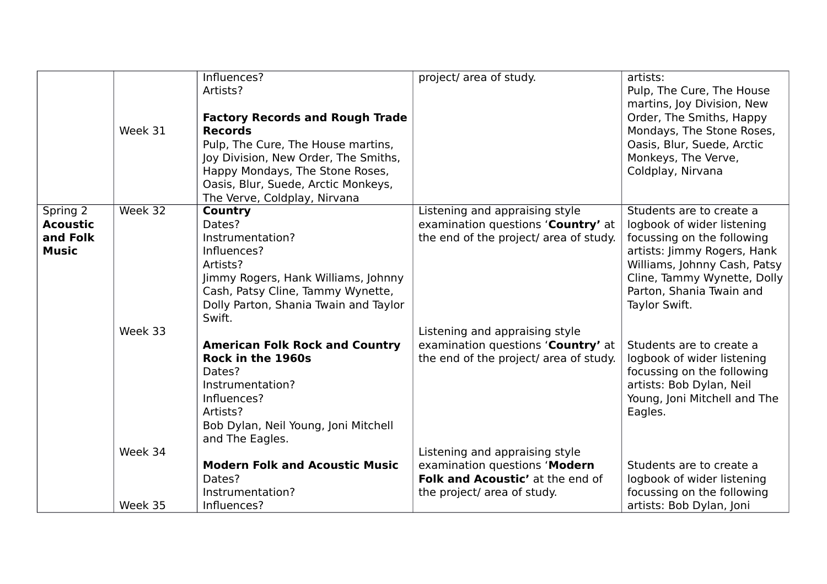|                 |         | Influences?                            | project/ area of study.                | artists:                                                 |
|-----------------|---------|----------------------------------------|----------------------------------------|----------------------------------------------------------|
|                 |         | Artists?                               |                                        | Pulp, The Cure, The House                                |
|                 |         |                                        |                                        | martins, Joy Division, New                               |
|                 |         | <b>Factory Records and Rough Trade</b> |                                        | Order, The Smiths, Happy                                 |
|                 | Week 31 | <b>Records</b>                         |                                        | Mondays, The Stone Roses,                                |
|                 |         | Pulp, The Cure, The House martins,     |                                        | Oasis, Blur, Suede, Arctic                               |
|                 |         | Joy Division, New Order, The Smiths,   |                                        | Monkeys, The Verve,                                      |
|                 |         | Happy Mondays, The Stone Roses,        |                                        | Coldplay, Nirvana                                        |
|                 |         | Oasis, Blur, Suede, Arctic Monkeys,    |                                        |                                                          |
|                 |         | The Verve, Coldplay, Nirvana           |                                        |                                                          |
| Spring 2        | Week 32 | Country                                | Listening and appraising style         | Students are to create a                                 |
| <b>Acoustic</b> |         | Dates?                                 | examination questions 'Country' at     | logbook of wider listening                               |
| and Folk        |         | Instrumentation?                       | the end of the project/ area of study. | focussing on the following                               |
| <b>Music</b>    |         | Influences?                            |                                        | artists: Jimmy Rogers, Hank                              |
|                 |         | Artists?                               |                                        | Williams, Johnny Cash, Patsy                             |
|                 |         | Jimmy Rogers, Hank Williams, Johnny    |                                        | Cline, Tammy Wynette, Dolly                              |
|                 |         | Cash, Patsy Cline, Tammy Wynette,      |                                        | Parton, Shania Twain and                                 |
|                 |         | Dolly Parton, Shania Twain and Taylor  |                                        | Taylor Swift.                                            |
|                 |         | Swift.                                 |                                        |                                                          |
|                 | Week 33 |                                        | Listening and appraising style         |                                                          |
|                 |         | <b>American Folk Rock and Country</b>  | examination questions 'Country' at     | Students are to create a                                 |
|                 |         | Rock in the 1960s                      | the end of the project/ area of study. | logbook of wider listening                               |
|                 |         | Dates?<br>Instrumentation?             |                                        | focussing on the following                               |
|                 |         | Influences?                            |                                        | artists: Bob Dylan, Neil<br>Young, Joni Mitchell and The |
|                 |         | Artists?                               |                                        | Eagles.                                                  |
|                 |         | Bob Dylan, Neil Young, Joni Mitchell   |                                        |                                                          |
|                 |         | and The Eagles.                        |                                        |                                                          |
|                 | Week 34 |                                        | Listening and appraising style         |                                                          |
|                 |         | <b>Modern Folk and Acoustic Music</b>  | examination questions 'Modern          | Students are to create a                                 |
|                 |         | Dates?                                 | Folk and Acoustic' at the end of       | logbook of wider listening                               |
|                 |         | Instrumentation?                       | the project/ area of study.            | focussing on the following                               |
|                 | Week 35 | Influences?                            |                                        | artists: Bob Dylan, Joni                                 |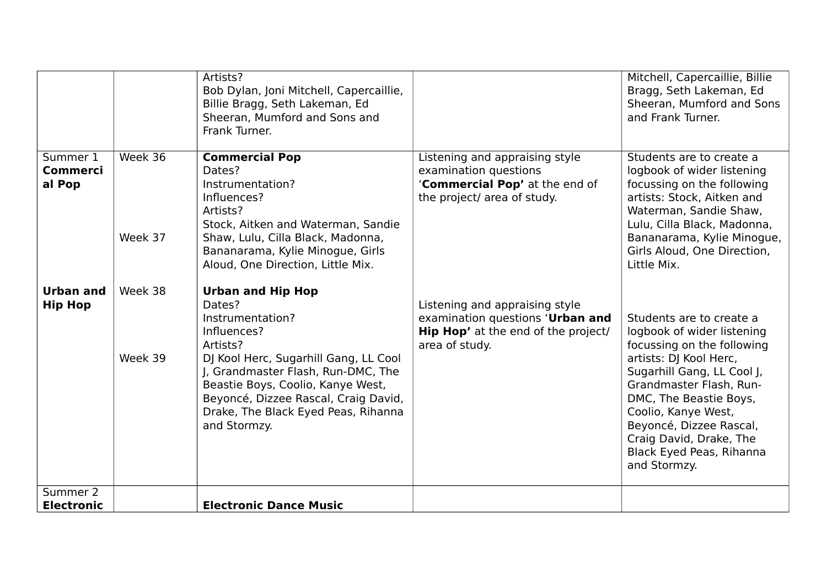|                                       |                    | Artists?<br>Bob Dylan, Joni Mitchell, Capercaillie,<br>Billie Bragg, Seth Lakeman, Ed<br>Sheeran, Mumford and Sons and<br>Frank Turner.                                                                                                                                                              |                                                                                                                                    | Mitchell, Capercaillie, Billie<br>Bragg, Seth Lakeman, Ed<br>Sheeran, Mumford and Sons<br>and Frank Turner.                                                                                                                                                                                                                |
|---------------------------------------|--------------------|------------------------------------------------------------------------------------------------------------------------------------------------------------------------------------------------------------------------------------------------------------------------------------------------------|------------------------------------------------------------------------------------------------------------------------------------|----------------------------------------------------------------------------------------------------------------------------------------------------------------------------------------------------------------------------------------------------------------------------------------------------------------------------|
| Summer 1<br><b>Commerci</b><br>al Pop | Week 36<br>Week 37 | <b>Commercial Pop</b><br>Dates?<br>Instrumentation?<br>Influences?<br>Artists?<br>Stock, Aitken and Waterman, Sandie<br>Shaw, Lulu, Cilla Black, Madonna,<br>Bananarama, Kylie Minogue, Girls<br>Aloud, One Direction, Little Mix.                                                                   | Listening and appraising style<br>examination questions<br>'Commercial Pop' at the end of<br>the project/ area of study.           | Students are to create a<br>logbook of wider listening<br>focussing on the following<br>artists: Stock, Aitken and<br>Waterman, Sandie Shaw,<br>Lulu, Cilla Black, Madonna,<br>Bananarama, Kylie Minogue,<br>Girls Aloud, One Direction,<br>Little Mix.                                                                    |
| <b>Urban and</b><br><b>Hip Hop</b>    | Week 38<br>Week 39 | <b>Urban and Hip Hop</b><br>Dates?<br>Instrumentation?<br>Influences?<br>Artists?<br>DJ Kool Herc, Sugarhill Gang, LL Cool<br>J, Grandmaster Flash, Run-DMC, The<br>Beastie Boys, Coolio, Kanye West,<br>Beyoncé, Dizzee Rascal, Craig David,<br>Drake, The Black Eyed Peas, Rihanna<br>and Stormzy. | Listening and appraising style<br>examination questions 'Urban and<br><b>Hip Hop'</b> at the end of the project/<br>area of study. | Students are to create a<br>logbook of wider listening<br>focussing on the following<br>artists: DJ Kool Herc,<br>Sugarhill Gang, LL Cool J,<br>Grandmaster Flash, Run-<br>DMC, The Beastie Boys,<br>Coolio, Kanye West,<br>Beyoncé, Dizzee Rascal,<br>Craig David, Drake, The<br>Black Eyed Peas, Rihanna<br>and Stormzy. |
| Summer 2<br><b>Electronic</b>         |                    | <b>Electronic Dance Music</b>                                                                                                                                                                                                                                                                        |                                                                                                                                    |                                                                                                                                                                                                                                                                                                                            |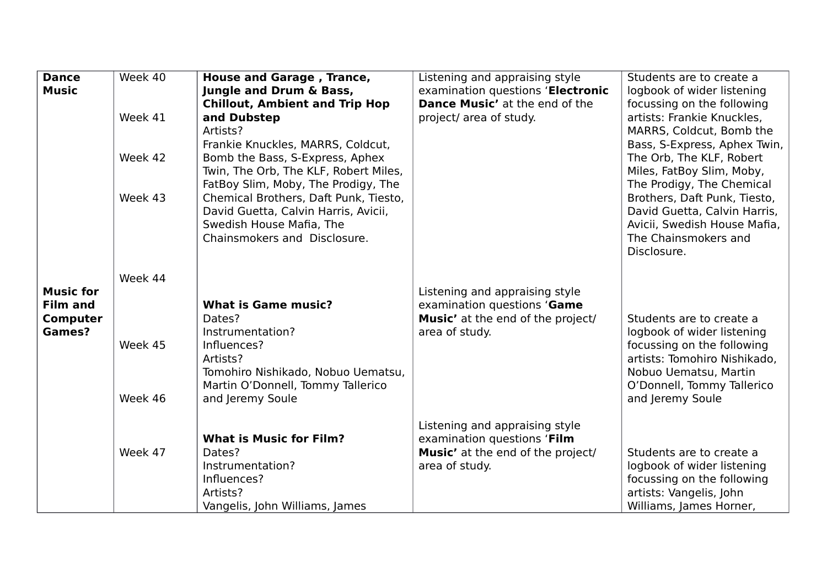| <b>Dance</b>     | Week 40 | <b>House and Garage, Trance,</b>      | Listening and appraising style        | Students are to create a     |
|------------------|---------|---------------------------------------|---------------------------------------|------------------------------|
| <b>Music</b>     |         | Jungle and Drum & Bass,               | examination questions 'Electronic     | logbook of wider listening   |
|                  |         | <b>Chillout, Ambient and Trip Hop</b> | <b>Dance Music'</b> at the end of the | focussing on the following   |
|                  | Week 41 | and Dubstep                           | project/ area of study.               | artists: Frankie Knuckles,   |
|                  |         | Artists?                              |                                       | MARRS, Coldcut, Bomb the     |
|                  |         | Frankie Knuckles, MARRS, Coldcut,     |                                       | Bass, S-Express, Aphex Twin, |
|                  | Week 42 | Bomb the Bass, S-Express, Aphex       |                                       | The Orb, The KLF, Robert     |
|                  |         | Twin, The Orb, The KLF, Robert Miles, |                                       | Miles, FatBoy Slim, Moby,    |
|                  |         | FatBoy Slim, Moby, The Prodigy, The   |                                       | The Prodigy, The Chemical    |
|                  | Week 43 | Chemical Brothers, Daft Punk, Tiesto, |                                       | Brothers, Daft Punk, Tiesto, |
|                  |         | David Guetta, Calvin Harris, Avicii,  |                                       | David Guetta, Calvin Harris, |
|                  |         | Swedish House Mafia, The              |                                       | Avicii, Swedish House Mafia, |
|                  |         | Chainsmokers and Disclosure.          |                                       | The Chainsmokers and         |
|                  |         |                                       |                                       | Disclosure.                  |
|                  |         |                                       |                                       |                              |
|                  | Week 44 |                                       |                                       |                              |
| <b>Music for</b> |         |                                       | Listening and appraising style        |                              |
| <b>Film and</b>  |         | <b>What is Game music?</b>            | examination questions 'Game           |                              |
| <b>Computer</b>  |         | Dates?                                | Music' at the end of the project/     | Students are to create a     |
| Games?           |         | Instrumentation?                      | area of study.                        | logbook of wider listening   |
|                  | Week 45 | Influences?                           |                                       | focussing on the following   |
|                  |         | Artists?                              |                                       | artists: Tomohiro Nishikado, |
|                  |         | Tomohiro Nishikado, Nobuo Uematsu,    |                                       | Nobuo Uematsu, Martin        |
|                  |         | Martin O'Donnell, Tommy Tallerico     |                                       | O'Donnell, Tommy Tallerico   |
|                  | Week 46 | and Jeremy Soule                      |                                       | and Jeremy Soule             |
|                  |         |                                       | Listening and appraising style        |                              |
|                  |         | <b>What is Music for Film?</b>        | examination questions 'Film           |                              |
|                  | Week 47 | Dates?                                | Music' at the end of the project/     | Students are to create a     |
|                  |         | Instrumentation?                      | area of study.                        | logbook of wider listening   |
|                  |         | Influences?                           |                                       | focussing on the following   |
|                  |         | Artists?                              |                                       | artists: Vangelis, John      |
|                  |         | Vangelis, John Williams, James        |                                       | Williams, James Horner,      |